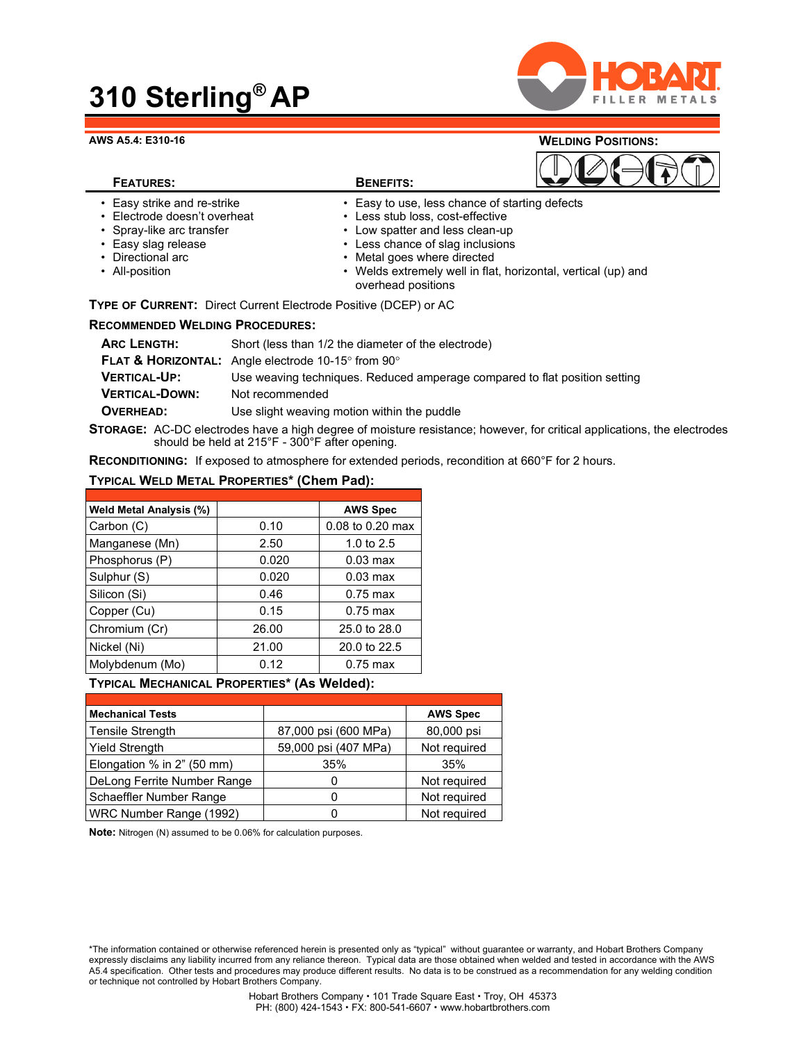**310 Sterling® AP**



### **AWS A5.4: E310-16 WELDING POSITIONS:**

# **FEATURES: BENEFITS:**



- Easy strike and re-strike Fasy to use, less chance of starting defects<br>• Electrode doesn't overheat Less stub loss, cost-effective
- Spray-like arc transfer Cow spatter and less clean-up
- Easy slag release Less chance of slag inclusions
- 
- 
- Directional arc **•** Metal goes where directed

• Less stub loss, cost-effective

- All-position  **Conservertion** Welds extremely well in flat, horizontal, vertical (up) and
	- overhead positions

**TYPE OF CURRENT:** Direct Current Electrode Positive (DCEP) or AC

# **RECOMMENDED WELDING PROCEDURES:**

| <b>ARC LENGTH:</b>    | Short (less than 1/2 the diameter of the electrode)                             |  |  |  |  |  |
|-----------------------|---------------------------------------------------------------------------------|--|--|--|--|--|
|                       | <b>FLAT &amp; HORIZONTAL:</b> Angle electrode 10-15 $\degree$ from 90 $\degree$ |  |  |  |  |  |
| <b>VERTICAL-UP:</b>   | Use weaving techniques. Reduced amperage compared to flat position setting      |  |  |  |  |  |
| <b>VERTICAL-DOWN:</b> | Not recommended                                                                 |  |  |  |  |  |
| <b>OVERHEAD:</b>      | Use slight weaving motion within the puddle                                     |  |  |  |  |  |
|                       |                                                                                 |  |  |  |  |  |

**STORAGE:** AC-DC electrodes have a high degree of moisture resistance; however, for critical applications, the electrodes should be held at 215°F - 300°F after opening.

**RECONDITIONING:** If exposed to atmosphere for extended periods, recondition at 660°F for 2 hours.

## **TYPICAL WELD METAL PROPERTIES\* (Chem Pad):**

| <b>Weld Metal Analysis (%)</b> |       | <b>AWS Spec</b>    |
|--------------------------------|-------|--------------------|
| Carbon (C)                     | 0.10  | 0.08 to 0.20 max   |
| Manganese (Mn)                 | 2.50  | 1.0 to $2.5$       |
| Phosphorus (P)                 | 0.020 | $0.03 \text{ max}$ |
| Sulphur (S)                    | 0.020 | $0.03 \text{ max}$ |
| Silicon (Si)                   | 0.46  | $0.75$ max         |
| Copper (Cu)                    | 0.15  | $0.75$ max         |
| Chromium (Cr)                  | 26.00 | 25.0 to 28.0       |
| Nickel (Ni)                    | 21.00 | 20.0 to 22.5       |
| Molybdenum (Mo)                | 0.12  | $0.75$ max         |

#### **TYPICAL MECHANICAL PROPERTIES\* (As Welded):**

| <b>Mechanical Tests</b>     |                      | <b>AWS Spec</b> |
|-----------------------------|----------------------|-----------------|
| <b>Tensile Strength</b>     | 87,000 psi (600 MPa) | 80,000 psi      |
| <b>Yield Strength</b>       | 59,000 psi (407 MPa) | Not required    |
| Elongation % in 2" (50 mm)  | 35%                  | 35%             |
| DeLong Ferrite Number Range |                      | Not required    |
| Schaeffler Number Range     |                      | Not required    |
| WRC Number Range (1992)     |                      | Not required    |

**Note:** Nitrogen (N) assumed to be 0.06% for calculation purposes.

<sup>\*</sup>The information contained or otherwise referenced herein is presented only as "typical" without guarantee or warranty, and Hobart Brothers Company expressly disclaims any liability incurred from any reliance thereon. Typical data are those obtained when welded and tested in accordance with the AWS A5.4 specification. Other tests and procedures may produce different results. No data is to be construed as a recommendation for any welding condition or technique not controlled by Hobart Brothers Company.